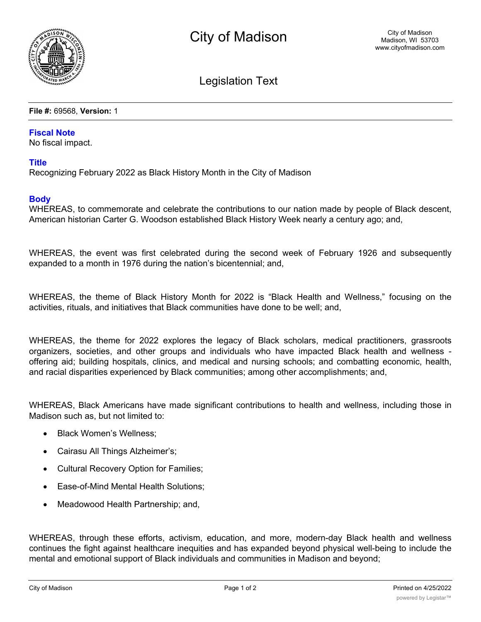

# Legislation Text

#### **File #:** 69568, **Version:** 1

#### **Fiscal Note**

No fiscal impact.

### **Title**

Recognizing February 2022 as Black History Month in the City of Madison

## **Body**

WHEREAS, to commemorate and celebrate the contributions to our nation made by people of Black descent, American historian Carter G. Woodson established Black History Week nearly a century ago; and,

WHEREAS, the event was first celebrated during the second week of February 1926 and subsequently expanded to a month in 1976 during the nation's bicentennial; and,

WHEREAS, the theme of Black History Month for 2022 is "Black Health and Wellness," focusing on the activities, rituals, and initiatives that Black communities have done to be well; and,

WHEREAS, the theme for 2022 explores the legacy of Black scholars, medical practitioners, grassroots organizers, societies, and other groups and individuals who have impacted Black health and wellness offering aid; building hospitals, clinics, and medical and nursing schools; and combatting economic, health, and racial disparities experienced by Black communities; among other accomplishments; and,

WHEREAS, Black Americans have made significant contributions to health and wellness, including those in Madison such as, but not limited to:

- Black Women's Wellness:
- · Cairasu All Things Alzheimer's;
- · Cultural Recovery Option for Families;
- · Ease-of-Mind Mental Health Solutions;
- · Meadowood Health Partnership; and,

WHEREAS, through these efforts, activism, education, and more, modern-day Black health and wellness continues the fight against healthcare inequities and has expanded beyond physical well-being to include the mental and emotional support of Black individuals and communities in Madison and beyond;